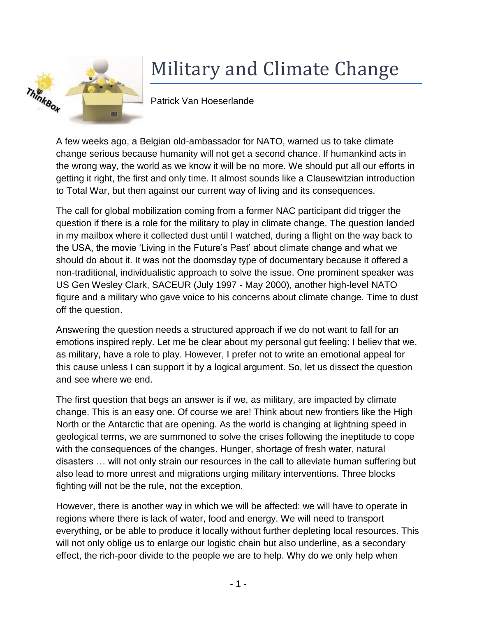

## Military and Climate Change

Patrick Van Hoeserlande

A few weeks ago, a Belgian old-ambassador for NATO, warned us to take climate change serious because humanity will not get a second chance. If humankind acts in the wrong way, the world as we know it will be no more. We should put all our efforts in getting it right, the first and only time. It almost sounds like a Clausewitzian introduction to Total War, but then against our current way of living and its consequences.

The call for global mobilization coming from a former NAC participant did trigger the question if there is a role for the military to play in climate change. The question landed in my mailbox where it collected dust until I watched, during a flight on the way back to the USA, the movie 'Living in the Future's Past' about climate change and what we should do about it. It was not the doomsday type of documentary because it offered a non-traditional, individualistic approach to solve the issue. One prominent speaker was US Gen Wesley Clark, SACEUR (July 1997 - May 2000), another high-level NATO figure and a military who gave voice to his concerns about climate change. Time to dust off the question.

Answering the question needs a structured approach if we do not want to fall for an emotions inspired reply. Let me be clear about my personal gut feeling: I believ that we, as military, have a role to play. However, I prefer not to write an emotional appeal for this cause unless I can support it by a logical argument. So, let us dissect the question and see where we end.

The first question that begs an answer is if we, as military, are impacted by climate change. This is an easy one. Of course we are! Think about new frontiers like the High North or the Antarctic that are opening. As the world is changing at lightning speed in geological terms, we are summoned to solve the crises following the ineptitude to cope with the consequences of the changes. Hunger, shortage of fresh water, natural disasters … will not only strain our resources in the call to alleviate human suffering but also lead to more unrest and migrations urging military interventions. Three blocks fighting will not be the rule, not the exception.

However, there is another way in which we will be affected: we will have to operate in regions where there is lack of water, food and energy. We will need to transport everything, or be able to produce it locally without further depleting local resources. This will not only oblige us to enlarge our logistic chain but also underline, as a secondary effect, the rich-poor divide to the people we are to help. Why do we only help when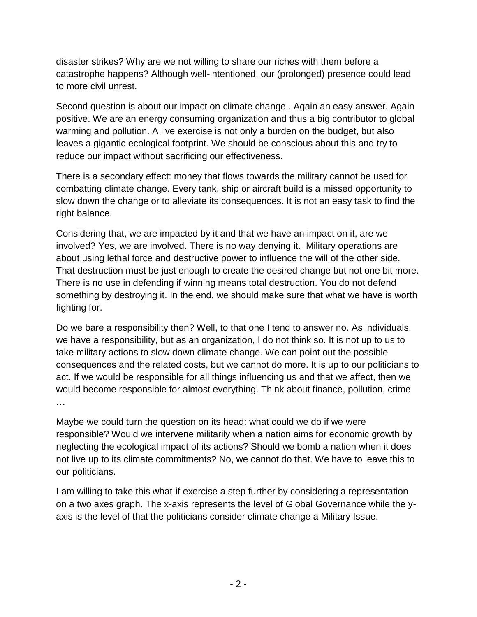disaster strikes? Why are we not willing to share our riches with them before a catastrophe happens? Although well-intentioned, our (prolonged) presence could lead to more civil unrest.

Second question is about our impact on climate change . Again an easy answer. Again positive. We are an energy consuming organization and thus a big contributor to global warming and pollution. A live exercise is not only a burden on the budget, but also leaves a gigantic ecological footprint. We should be conscious about this and try to reduce our impact without sacrificing our effectiveness.

There is a secondary effect: money that flows towards the military cannot be used for combatting climate change. Every tank, ship or aircraft build is a missed opportunity to slow down the change or to alleviate its consequences. It is not an easy task to find the right balance.

Considering that, we are impacted by it and that we have an impact on it, are we involved? Yes, we are involved. There is no way denying it. Military operations are about using lethal force and destructive power to influence the will of the other side. That destruction must be just enough to create the desired change but not one bit more. There is no use in defending if winning means total destruction. You do not defend something by destroying it. In the end, we should make sure that what we have is worth fighting for.

Do we bare a responsibility then? Well, to that one I tend to answer no. As individuals, we have a responsibility, but as an organization, I do not think so. It is not up to us to take military actions to slow down climate change. We can point out the possible consequences and the related costs, but we cannot do more. It is up to our politicians to act. If we would be responsible for all things influencing us and that we affect, then we would become responsible for almost everything. Think about finance, pollution, crime …

Maybe we could turn the question on its head: what could we do if we were responsible? Would we intervene militarily when a nation aims for economic growth by neglecting the ecological impact of its actions? Should we bomb a nation when it does not live up to its climate commitments? No, we cannot do that. We have to leave this to our politicians.

I am willing to take this what-if exercise a step further by considering a representation on a two axes graph. The x-axis represents the level of Global Governance while the yaxis is the level of that the politicians consider climate change a Military Issue.